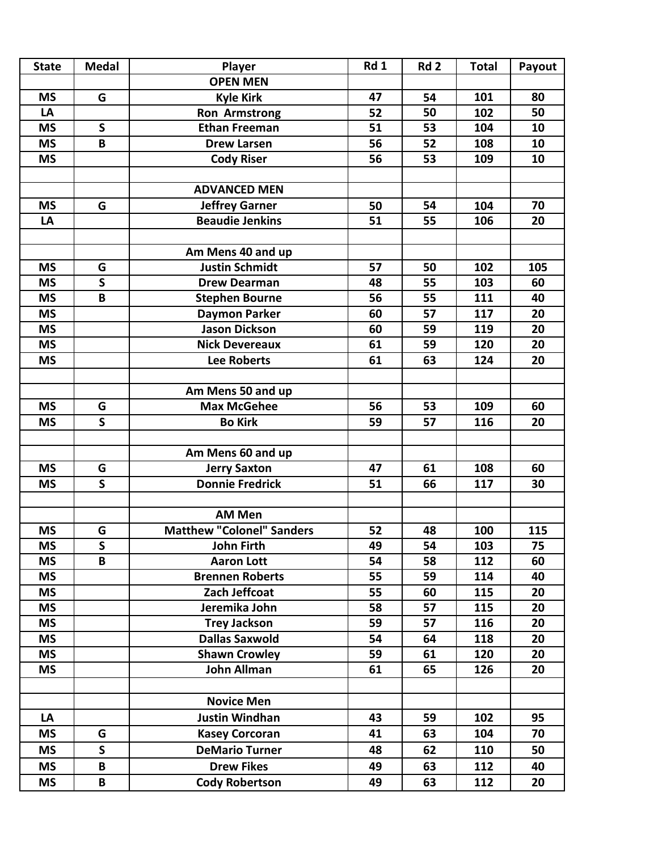| <b>State</b> | <b>Medal</b>            | Player                           | Rd 1 | Rd <sub>2</sub> | <b>Total</b> | Payout |
|--------------|-------------------------|----------------------------------|------|-----------------|--------------|--------|
|              |                         | <b>OPEN MEN</b>                  |      |                 |              |        |
| <b>MS</b>    | G                       | <b>Kyle Kirk</b>                 | 47   | 54              | 101          | 80     |
| LA           |                         | <b>Ron Armstrong</b>             | 52   | 50              | 102          | 50     |
| <b>MS</b>    | $\mathsf{S}$            | <b>Ethan Freeman</b>             | 51   | 53              | 104          | 10     |
| <b>MS</b>    | B                       | <b>Drew Larsen</b>               | 56   | 52              | 108          | 10     |
| <b>MS</b>    |                         | <b>Cody Riser</b>                | 56   | 53              | 109          | 10     |
|              |                         |                                  |      |                 |              |        |
|              |                         | <b>ADVANCED MEN</b>              |      |                 |              |        |
| <b>MS</b>    | G                       | <b>Jeffrey Garner</b>            | 50   | 54              | 104          | 70     |
| LA           |                         | <b>Beaudie Jenkins</b>           | 51   | 55              | 106          | 20     |
|              |                         |                                  |      |                 |              |        |
|              |                         | Am Mens 40 and up                |      |                 |              |        |
| <b>MS</b>    | G                       | <b>Justin Schmidt</b>            | 57   | 50              | 102          | 105    |
| <b>MS</b>    | $\mathsf{s}$            | <b>Drew Dearman</b>              | 48   | 55              | 103          | 60     |
| <b>MS</b>    | B                       | <b>Stephen Bourne</b>            | 56   | 55              | 111          | 40     |
| <b>MS</b>    |                         | <b>Daymon Parker</b>             | 60   | 57              | 117          | 20     |
| <b>MS</b>    |                         | <b>Jason Dickson</b>             | 60   | 59              | 119          | 20     |
| <b>MS</b>    |                         | <b>Nick Devereaux</b>            | 61   | 59              | 120          | 20     |
| <b>MS</b>    |                         | <b>Lee Roberts</b>               | 61   | 63              | 124          | 20     |
|              |                         |                                  |      |                 |              |        |
|              |                         | Am Mens 50 and up                |      |                 |              |        |
| <b>MS</b>    | G                       | <b>Max McGehee</b>               | 56   | 53              | 109          | 60     |
| <b>MS</b>    | $\mathsf{S}$            | <b>Bo Kirk</b>                   | 59   | 57              | 116          | 20     |
|              |                         |                                  |      |                 |              |        |
|              |                         | Am Mens 60 and up                |      |                 |              |        |
| <b>MS</b>    | G                       | <b>Jerry Saxton</b>              | 47   | 61              | 108          | 60     |
| <b>MS</b>    | $\overline{\mathsf{s}}$ | Donnie Fredrick                  | 51   | 66              | 117          | 30     |
|              |                         |                                  |      |                 |              |        |
|              |                         | <b>AM Men</b>                    |      |                 |              |        |
| <b>MS</b>    | G                       | <b>Matthew "Colonel" Sanders</b> | 52   | 48              | 100          | 115    |
| <b>MS</b>    | $\mathsf S$             | <b>John Firth</b>                | 49   | 54              | 103          | 75     |
| <b>MS</b>    | $\overline{\mathsf{B}}$ | <b>Aaron Lott</b>                | 54   | 58              | 112          | 60     |
| <b>MS</b>    |                         | <b>Brennen Roberts</b>           | 55   | 59              | 114          | 40     |
| <b>MS</b>    |                         | Zach Jeffcoat                    | 55   | 60              | 115          | 20     |
| <b>MS</b>    |                         | Jeremika John                    | 58   | 57              | 115          | 20     |
| <b>MS</b>    |                         | <b>Trey Jackson</b>              | 59   | 57              | 116          | 20     |
| <b>MS</b>    |                         | <b>Dallas Saxwold</b>            | 54   | 64              | 118          | 20     |
| <b>MS</b>    |                         | <b>Shawn Crowley</b>             | 59   | 61              | 120          | 20     |
| ΜS           |                         | <b>John Allman</b>               | 61   | 65              | 126          | 20     |
|              |                         |                                  |      |                 |              |        |
|              |                         | <b>Novice Men</b>                |      |                 |              |        |
| LA           |                         | <b>Justin Windhan</b>            | 43   | 59              | 102          | 95     |
| ΜS           | G                       | <b>Kasey Corcoran</b>            | 41   | 63              | 104          | 70     |
| <b>MS</b>    | $\mathsf{S}$            | <b>DeMario Turner</b>            | 48   | 62              | 110          | 50     |
| <b>MS</b>    | B                       | <b>Drew Fikes</b>                | 49   | 63              | 112          | 40     |
| <b>MS</b>    | B                       | <b>Cody Robertson</b>            | 49   | 63              | 112          | 20     |